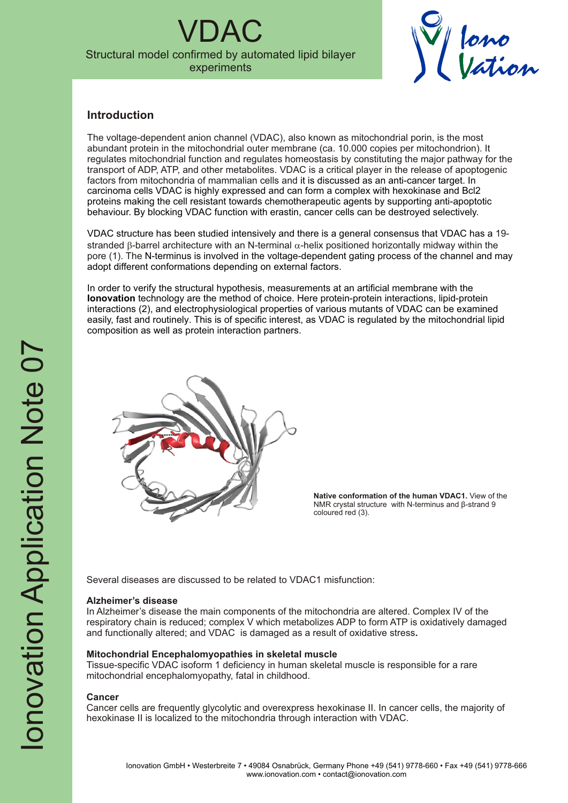$\overline{A}$ C Structural model confirmed by automated lipid bilayer experiments



### **Introduction**

The voltage-dependent anion channel (VDAC), also known as mitochondrial porin, is the most abundant protein in the mitochondrial outer membrane (ca. 10.000 copies per mitochondrion). It regulates mitochondrial function and regulates homeostasis by constituting the major pathway for the transport of ADP, ATP, and other metabolites. VDAC is a critical player in the release of apoptogenic factors from mitochondria of mammalian cells and it is discussed as an anti-cancer target. In carcinoma cells VDAC is highly expressed and can form a complex with hexokinase and Bcl2 proteins making the cell resistant towards chemotherapeutic agents by supporting anti-apoptotic behaviour. By blocking VDAC function with erastin, cancer cells can be destroyed selectively.

VDAC structure has been studied intensively and there is a general consensus that VDAC has a 19stranded  $\beta$ -barrel architecture with an N-terminal  $\alpha$ -helix positioned horizontally midway within the pore (1). The N-terminus is involved in the voltage-dependent gating process of the channel and may adopt different conformations depending on external factors.

In order to verify the structural hypothesis, measurements at an artificial membrane with the **Ionovation** technology are the method of choice. Here protein-protein interactions, lipid-protein interactions (2), and electrophysiological properties of various mutants of VDAC can be examined easily, fast and routinely. This is of specific interest, as VDAC is regulated by the mitochondrial lipid composition as well as protein interaction partners.



**Native conformation of the human VDAC1.** View of the NMR crystal structure with N-terminus and β-strand 9 coloured red (3).

Several diseases are discussed to be related to VDAC1 misfunction:

### **Alzheimer's disease**

In Alzheimer's disease the main components of the mitochondria are altered. Complex IV of the respiratory chain is reduced; complex V which metabolizes ADP to form ATP is oxidatively damaged and functionally altered; and VDAC is damaged as a result of oxidative stress**.** 

### **Mitochondrial Encephalomyopathies in skeletal muscle**

Tissue-specific VDAC isoform 1 deficiency in human skeletal muscle is responsible for a rare mitochondrial encephalomyopathy, fatal in childhood.

### **Cancer**

Cancer cells are frequently glycolytic and overexpress hexokinase II. In cancer cells, the majority of hexokinase II is localized to the mitochondria through interaction with VDAC.